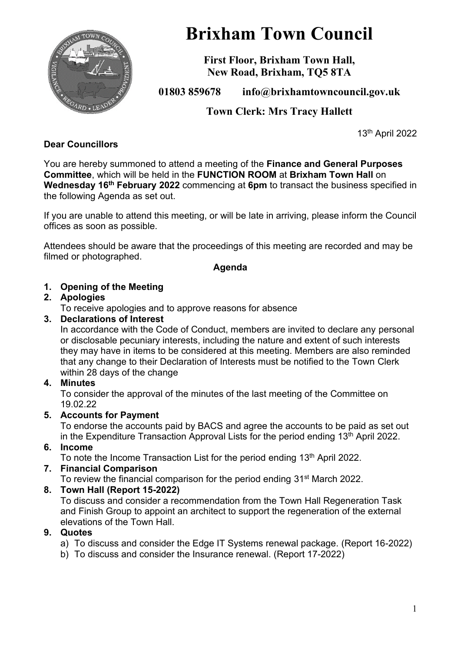

# **Brixham Town Council**

**First Floor, Brixham Town Hall, New Road, Brixham, TQ5 8TA**

**01803 859678 info@brixhamtowncouncil.gov.uk**

**Town Clerk: Mrs Tracy Hallett**

13th April 2022

# **Dear Councillors**

You are hereby summoned to attend a meeting of the **Finance and General Purposes Committee**, which will be held in the **FUNCTION ROOM** at **Brixham Town Hall** on **Wednesday 16th February 2022** commencing at **6pm** to transact the business specified in the following Agenda as set out.

If you are unable to attend this meeting, or will be late in arriving, please inform the Council offices as soon as possible.

Attendees should be aware that the proceedings of this meeting are recorded and may be filmed or photographed.

#### **Agenda**

# **1. Opening of the Meeting**

# **2. Apologies**

To receive apologies and to approve reasons for absence

# **3. Declarations of Interest**

In accordance with the Code of Conduct, members are invited to declare any personal or disclosable pecuniary interests, including the nature and extent of such interests they may have in items to be considered at this meeting. Members are also reminded that any change to their Declaration of Interests must be notified to the Town Clerk within 28 days of the change

# **4. Minutes**

To consider the approval of the minutes of the last meeting of the Committee on 19.02.22

# **5. Accounts for Payment**

To endorse the accounts paid by BACS and agree the accounts to be paid as set out in the Expenditure Transaction Approval Lists for the period ending  $13<sup>th</sup>$  April 2022.

# **6. Income**

To note the Income Transaction List for the period ending 13<sup>th</sup> April 2022.

# **7. Financial Comparison**

To review the financial comparison for the period ending 31st March 2022.

# **8. Town Hall (Report 15-2022)**

To discuss and consider a recommendation from the Town Hall Regeneration Task and Finish Group to appoint an architect to support the regeneration of the external elevations of the Town Hall.

# **9. Quotes**

- a) To discuss and consider the Edge IT Systems renewal package. (Report 16-2022)
- b) To discuss and consider the Insurance renewal. (Report 17-2022)